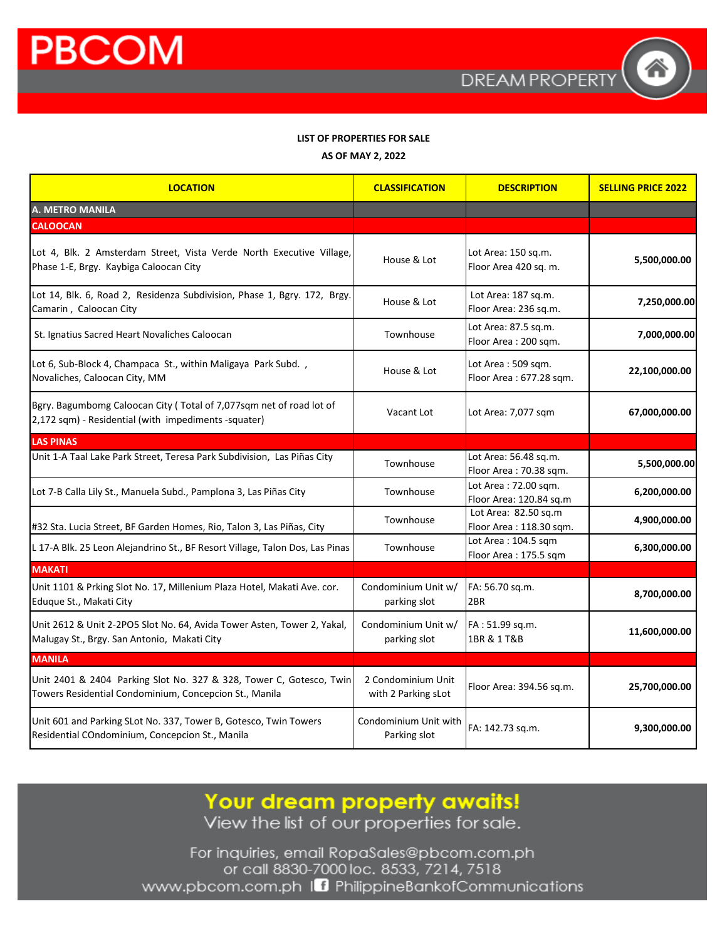

#### **LIST OF PROPERTIES FOR SALE**

**AS OF MAY 2, 2022**

| <b>LOCATION</b>                                                                                                               | <b>CLASSIFICATION</b>                     | <b>DESCRIPTION</b>                              | <b>SELLING PRICE 2022</b> |
|-------------------------------------------------------------------------------------------------------------------------------|-------------------------------------------|-------------------------------------------------|---------------------------|
| A. METRO MANILA                                                                                                               |                                           |                                                 |                           |
| <b>CALOOCAN</b>                                                                                                               |                                           |                                                 |                           |
| Lot 4, Blk. 2 Amsterdam Street, Vista Verde North Executive Village,<br>Phase 1-E, Brgy. Kaybiga Caloocan City                | House & Lot                               | Lot Area: 150 sq.m.<br>Floor Area 420 sq. m.    | 5,500,000.00              |
| Lot 14, Blk. 6, Road 2, Residenza Subdivision, Phase 1, Bgry. 172, Brgy.<br>Camarin, Caloocan City                            | House & Lot                               | Lot Area: 187 sq.m.<br>Floor Area: 236 sq.m.    | 7,250,000.00              |
| St. Ignatius Sacred Heart Novaliches Caloocan                                                                                 | Townhouse                                 | Lot Area: 87.5 sq.m.<br>Floor Area: 200 sqm.    | 7,000,000.00              |
| Lot 6, Sub-Block 4, Champaca St., within Maligaya Park Subd.,<br>Novaliches, Caloocan City, MM                                | House & Lot                               | Lot Area: 509 sqm.<br>Floor Area: 677.28 sqm.   | 22,100,000.00             |
| Bgry. Bagumbomg Caloocan City (Total of 7,077sqm net of road lot of<br>2,172 sqm) - Residential (with impediments -squater)   | Vacant Lot                                | Lot Area: 7,077 sqm                             | 67,000,000.00             |
| <b>LAS PINAS</b>                                                                                                              |                                           |                                                 |                           |
| Unit 1-A Taal Lake Park Street, Teresa Park Subdivision, Las Piñas City                                                       | Townhouse                                 | Lot Area: 56.48 sq.m.<br>Floor Area: 70.38 sqm. | 5,500,000.00              |
| Lot 7-B Calla Lily St., Manuela Subd., Pamplona 3, Las Piñas City                                                             | Townhouse                                 | Lot Area: 72.00 sgm.<br>Floor Area: 120.84 sq.m | 6,200,000.00              |
| #32 Sta. Lucia Street, BF Garden Homes, Rio, Talon 3, Las Piñas, City                                                         | Townhouse                                 | Lot Area: 82.50 sq.m<br>Floor Area: 118.30 sqm. | 4,900,000.00              |
| L 17-A Blk. 25 Leon Alejandrino St., BF Resort Village, Talon Dos, Las Pinas                                                  | Townhouse                                 | Lot Area: 104.5 sqm<br>Floor Area: 175.5 sqm    | 6,300,000.00              |
| <b>MAKATI</b>                                                                                                                 |                                           |                                                 |                           |
| Unit 1101 & Prking Slot No. 17, Millenium Plaza Hotel, Makati Ave. cor.<br>Eduque St., Makati City                            | Condominium Unit w/<br>parking slot       | FA: 56.70 sq.m.<br>2BR                          | 8,700,000.00              |
| Unit 2612 & Unit 2-2PO5 Slot No. 64, Avida Tower Asten, Tower 2, Yakal,<br>Malugay St., Brgy. San Antonio, Makati City        | Condominium Unit w/<br>parking slot       | FA: 51.99 sq.m.<br>1BR & 1 T&B                  | 11,600,000.00             |
| <b>MANILA</b>                                                                                                                 |                                           |                                                 |                           |
| Unit 2401 & 2404 Parking Slot No. 327 & 328, Tower C, Gotesco, Twin<br>Towers Residential Condominium, Concepcion St., Manila | 2 Condominium Unit<br>with 2 Parking sLot | Floor Area: 394.56 sq.m.                        | 25,700,000.00             |
| Unit 601 and Parking SLot No. 337, Tower B, Gotesco, Twin Towers<br>Residential COndominium, Concepcion St., Manila           | Condominium Unit with<br>Parking slot     | FA: 142.73 sq.m.                                | 9,300,000.00              |

Your dream property awaits!<br>View the list of our properties for sale.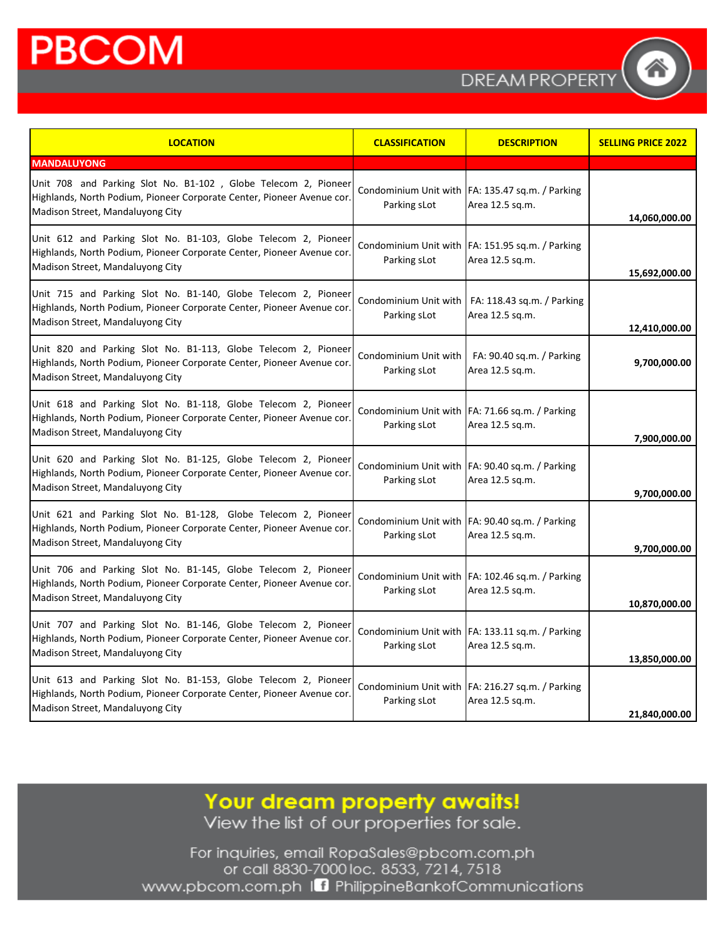**DREAMPROPERT** 

| <b>LOCATION</b>                                                                                                                                                              | <b>CLASSIFICATION</b>                 | <b>DESCRIPTION</b>                                                    | <b>SELLING PRICE 2022</b> |
|------------------------------------------------------------------------------------------------------------------------------------------------------------------------------|---------------------------------------|-----------------------------------------------------------------------|---------------------------|
| <b>MANDALUYONG</b>                                                                                                                                                           |                                       |                                                                       |                           |
| Unit 708 and Parking Slot No. B1-102, Globe Telecom 2, Pioneer<br>Highlands, North Podium, Pioneer Corporate Center, Pioneer Avenue cor.<br>Madison Street, Mandaluyong City | Parking sLot                          | Condominium Unit with FA: 135.47 sq.m. / Parking<br>Area 12.5 sq.m.   | 14,060,000.00             |
| Unit 612 and Parking Slot No. B1-103, Globe Telecom 2, Pioneer<br>Highlands, North Podium, Pioneer Corporate Center, Pioneer Avenue cor.<br>Madison Street, Mandaluyong City | Parking sLot                          | Condominium Unit with FA: 151.95 sq.m. / Parking<br>Area 12.5 sq.m.   | 15,692,000.00             |
| Unit 715 and Parking Slot No. B1-140, Globe Telecom 2, Pioneer<br>Highlands, North Podium, Pioneer Corporate Center, Pioneer Avenue cor.<br>Madison Street, Mandaluyong City | Parking sLot                          | Condominium Unit with   FA: 118.43 sq.m. / Parking<br>Area 12.5 sq.m. | 12,410,000.00             |
| Unit 820 and Parking Slot No. B1-113, Globe Telecom 2, Pioneer<br>Highlands, North Podium, Pioneer Corporate Center, Pioneer Avenue cor.<br>Madison Street, Mandaluyong City | Condominium Unit with<br>Parking sLot | FA: 90.40 sq.m. / Parking<br>Area 12.5 sg.m.                          | 9,700,000.00              |
| Unit 618 and Parking Slot No. B1-118, Globe Telecom 2, Pioneer<br>Highlands, North Podium, Pioneer Corporate Center, Pioneer Avenue cor.<br>Madison Street, Mandaluyong City | Parking sLot                          | Condominium Unit with FA: 71.66 sq.m. / Parking<br>Area 12.5 sq.m.    | 7,900,000.00              |
| Unit 620 and Parking Slot No. B1-125, Globe Telecom 2, Pioneer<br>Highlands, North Podium, Pioneer Corporate Center, Pioneer Avenue cor.<br>Madison Street, Mandaluyong City | Parking sLot                          | Condominium Unit with FA: 90.40 sq.m. / Parking<br>Area 12.5 sq.m.    | 9,700,000.00              |
| Unit 621 and Parking Slot No. B1-128, Globe Telecom 2, Pioneer<br>Highlands, North Podium, Pioneer Corporate Center, Pioneer Avenue cor.<br>Madison Street, Mandaluyong City | Parking sLot                          | Condominium Unit with FA: 90.40 sq.m. / Parking<br>Area 12.5 sq.m.    | 9,700,000.00              |
| Unit 706 and Parking Slot No. B1-145, Globe Telecom 2, Pioneer<br>Highlands, North Podium, Pioneer Corporate Center, Pioneer Avenue cor.<br>Madison Street, Mandaluyong City | Parking sLot                          | Condominium Unit with FA: 102.46 sq.m. / Parking<br>Area 12.5 sq.m.   | 10,870,000.00             |
| Unit 707 and Parking Slot No. B1-146, Globe Telecom 2, Pioneer<br>Highlands, North Podium, Pioneer Corporate Center, Pioneer Avenue cor.<br>Madison Street, Mandaluyong City | Parking sLot                          | Condominium Unit with FA: 133.11 sq.m. / Parking<br>Area 12.5 sq.m.   | 13,850,000.00             |
| Unit 613 and Parking Slot No. B1-153, Globe Telecom 2, Pioneer<br>Highlands, North Podium, Pioneer Corporate Center, Pioneer Avenue cor.<br>Madison Street, Mandaluyong City | Parking sLot                          | Condominium Unit with FA: 216.27 sq.m. / Parking<br>Area 12.5 sq.m.   | 21,840,000.00             |

Your dream property awaits!<br>View the list of our properties for sale.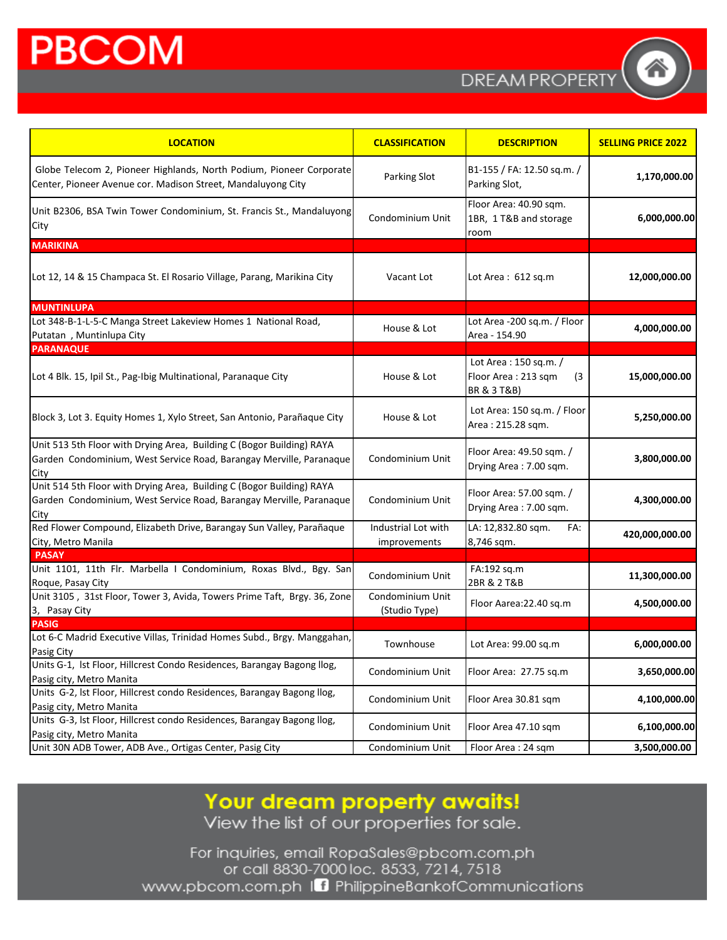**DREAMPROPERT** 

| <b>LOCATION</b>                                                                                                                                      | <b>CLASSIFICATION</b>               | <b>DESCRIPTION</b>                                                  | <b>SELLING PRICE 2022</b> |
|------------------------------------------------------------------------------------------------------------------------------------------------------|-------------------------------------|---------------------------------------------------------------------|---------------------------|
| Globe Telecom 2, Pioneer Highlands, North Podium, Pioneer Corporate<br>Center, Pioneer Avenue cor. Madison Street, Mandaluyong City                  | Parking Slot                        | B1-155 / FA: 12.50 sq.m. /<br>Parking Slot,                         | 1,170,000.00              |
| Unit B2306, BSA Twin Tower Condominium, St. Francis St., Mandaluyong<br>City                                                                         | Condominium Unit                    | Floor Area: 40.90 sqm.<br>1BR, 1 T&B and storage<br>room            | 6,000,000.00              |
| <b>MARIKINA</b>                                                                                                                                      |                                     |                                                                     |                           |
| Lot 12, 14 & 15 Champaca St. El Rosario Village, Parang, Marikina City                                                                               | Vacant Lot                          | Lot Area: 612 sq.m                                                  | 12,000,000.00             |
| <b>MUNTINLUPA</b>                                                                                                                                    |                                     |                                                                     |                           |
| Lot 348-B-1-L-5-C Manga Street Lakeview Homes 1 National Road,<br>Putatan, Muntinlupa City                                                           | House & Lot                         | Lot Area -200 sq.m. / Floor<br>Area - 154.90                        | 4,000,000.00              |
| <b>PARANAQUE</b>                                                                                                                                     |                                     |                                                                     |                           |
| Lot 4 Blk. 15, Ipil St., Pag-Ibig Multinational, Paranaque City                                                                                      | House & Lot                         | Lot Area : 150 sq.m. /<br>Floor Area: 213 sqm<br>(3)<br>BR & 3 T&B) | 15,000,000.00             |
| Block 3, Lot 3. Equity Homes 1, Xylo Street, San Antonio, Parañaque City                                                                             | House & Lot                         | Lot Area: 150 sq.m. / Floor<br>Area: 215.28 sqm.                    | 5,250,000.00              |
| Unit 513 5th Floor with Drying Area, Building C (Bogor Building) RAYA<br>Garden Condominium, West Service Road, Barangay Merville, Paranaque<br>City | Condominium Unit                    | Floor Area: 49.50 sqm. /<br>Drying Area: 7.00 sqm.                  | 3,800,000.00              |
| Unit 514 5th Floor with Drying Area, Building C (Bogor Building) RAYA<br>Garden Condominium, West Service Road, Barangay Merville, Paranaque<br>City | Condominium Unit                    | Floor Area: 57.00 sqm. /<br>Drying Area: 7.00 sqm.                  | 4,300,000.00              |
| Red Flower Compound, Elizabeth Drive, Barangay Sun Valley, Parañaque<br>City, Metro Manila                                                           | Industrial Lot with<br>improvements | LA: 12,832.80 sqm.<br>FA:<br>8,746 sqm.                             | 420,000,000.00            |
| <b>PASAY</b>                                                                                                                                         |                                     |                                                                     |                           |
| Unit 1101, 11th Flr. Marbella I Condominium, Roxas Blvd., Bgy. San<br>Roque, Pasay City                                                              | Condominium Unit                    | FA:192 sq.m<br>2BR & 2 T&B                                          | 11,300,000.00             |
| Unit 3105, 31st Floor, Tower 3, Avida, Towers Prime Taft, Brgy. 36, Zone<br>3, Pasay City                                                            | Condominium Unit<br>(Studio Type)   | Floor Aarea: 22.40 sq.m                                             | 4,500,000.00              |
| <b>PASIG</b>                                                                                                                                         |                                     |                                                                     |                           |
| Lot 6-C Madrid Executive Villas, Trinidad Homes Subd., Brgy. Manggahan,<br>Pasig City                                                                | Townhouse                           | Lot Area: 99.00 sq.m                                                | 6,000,000.00              |
| Units G-1, Ist Floor, Hillcrest Condo Residences, Barangay Bagong Ilog,<br>Pasig city, Metro Manita                                                  | Condominium Unit                    | Floor Area: 27.75 sq.m                                              | 3,650,000.00              |
| Units G-2, lst Floor, Hillcrest condo Residences, Barangay Bagong llog,<br>Pasig city, Metro Manita                                                  | Condominium Unit                    | Floor Area 30.81 sqm                                                | 4,100,000.00              |
| Units G-3, lst Floor, Hillcrest condo Residences, Barangay Bagong llog,<br>Pasig city, Metro Manita                                                  | Condominium Unit                    | Floor Area 47.10 sqm                                                | 6,100,000.00              |
| Unit 30N ADB Tower, ADB Ave., Ortigas Center, Pasig City                                                                                             | Condominium Unit                    | Floor Area: 24 sqm                                                  | 3,500,000.00              |

Your dream property awaits!<br>View the list of our properties for sale.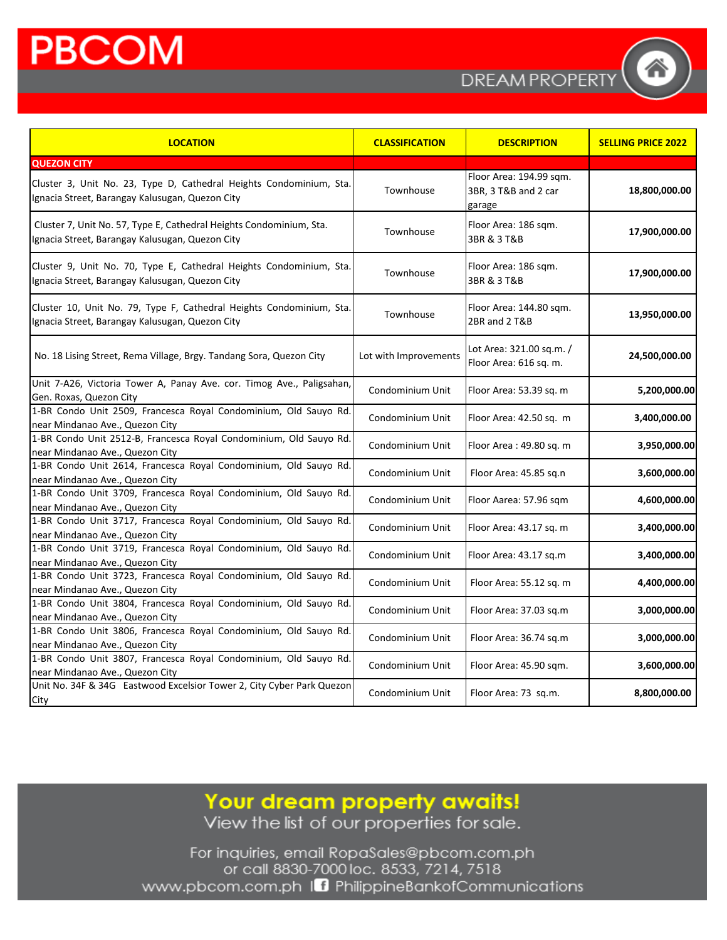**DREAM PROPERT** 

| <b>LOCATION</b>                                                                                                         | <b>CLASSIFICATION</b> | <b>DESCRIPTION</b>                                        | <b>SELLING PRICE 2022</b> |
|-------------------------------------------------------------------------------------------------------------------------|-----------------------|-----------------------------------------------------------|---------------------------|
| <b>QUEZON CITY</b>                                                                                                      |                       |                                                           |                           |
| Cluster 3, Unit No. 23, Type D, Cathedral Heights Condominium, Sta.<br>Ignacia Street, Barangay Kalusugan, Quezon City  | Townhouse             | Floor Area: 194.99 sqm.<br>3BR, 3 T&B and 2 car<br>garage | 18,800,000.00             |
| Cluster 7, Unit No. 57, Type E, Cathedral Heights Condominium, Sta.<br>Ignacia Street, Barangay Kalusugan, Quezon City  | Townhouse             | Floor Area: 186 sqm.<br>3BR & 3 T&B                       | 17,900,000.00             |
| Cluster 9, Unit No. 70, Type E, Cathedral Heights Condominium, Sta.<br>Ignacia Street, Barangay Kalusugan, Quezon City  | Townhouse             | Floor Area: 186 sqm.<br>3BR & 3 T&B                       | 17,900,000.00             |
| Cluster 10, Unit No. 79, Type F, Cathedral Heights Condominium, Sta.<br>Ignacia Street, Barangay Kalusugan, Quezon City | Townhouse             | Floor Area: 144.80 sqm.<br>2BR and 2 T&B                  | 13,950,000.00             |
| No. 18 Lising Street, Rema Village, Brgy. Tandang Sora, Quezon City                                                     | Lot with Improvements | Lot Area: 321.00 sq.m. /<br>Floor Area: 616 sq. m.        | 24,500,000.00             |
| Unit 7-A26, Victoria Tower A, Panay Ave. cor. Timog Ave., Paligsahan,<br>Gen. Roxas, Quezon City                        | Condominium Unit      | Floor Area: 53.39 sq. m                                   | 5,200,000.00              |
| 1-BR Condo Unit 2509, Francesca Royal Condominium, Old Sauyo Rd.<br>near Mindanao Ave., Quezon City                     | Condominium Unit      | Floor Area: 42.50 sq. m                                   | 3,400,000.00              |
| 1-BR Condo Unit 2512-B, Francesca Royal Condominium, Old Sauyo Rd.<br>near Mindanao Ave., Quezon City                   | Condominium Unit      | Floor Area: 49.80 sq. m                                   | 3,950,000.00              |
| 1-BR Condo Unit 2614, Francesca Royal Condominium, Old Sauyo Rd.<br>near Mindanao Ave., Quezon City                     | Condominium Unit      | Floor Area: 45.85 sq.n                                    | 3,600,000.00              |
| 1-BR Condo Unit 3709, Francesca Royal Condominium, Old Sauyo Rd.<br>near Mindanao Ave., Quezon City                     | Condominium Unit      | Floor Aarea: 57.96 sqm                                    | 4,600,000.00              |
| 1-BR Condo Unit 3717, Francesca Royal Condominium, Old Sauyo Rd.<br>near Mindanao Ave., Quezon City                     | Condominium Unit      | Floor Area: 43.17 sq. m                                   | 3,400,000.00              |
| 1-BR Condo Unit 3719, Francesca Royal Condominium, Old Sauyo Rd.<br>near Mindanao Ave., Quezon City                     | Condominium Unit      | Floor Area: 43.17 sq.m                                    | 3,400,000.00              |
| 1-BR Condo Unit 3723, Francesca Royal Condominium, Old Sauyo Rd.<br>near Mindanao Ave., Quezon City                     | Condominium Unit      | Floor Area: 55.12 sq. m                                   | 4,400,000.00              |
| 1-BR Condo Unit 3804, Francesca Royal Condominium, Old Sauyo Rd.<br>near Mindanao Ave., Quezon City                     | Condominium Unit      | Floor Area: 37.03 sq.m                                    | 3,000,000.00              |
| 1-BR Condo Unit 3806, Francesca Royal Condominium, Old Sauyo Rd.<br>near Mindanao Ave., Quezon City                     | Condominium Unit      | Floor Area: 36.74 sq.m                                    | 3,000,000.00              |
| 1-BR Condo Unit 3807, Francesca Royal Condominium, Old Sauyo Rd.<br>near Mindanao Ave., Quezon City                     | Condominium Unit      | Floor Area: 45.90 sqm.                                    | 3,600,000.00              |
| Unit No. 34F & 34G Eastwood Excelsior Tower 2, City Cyber Park Quezon<br>City                                           | Condominium Unit      | Floor Area: 73 sq.m.                                      | 8,800,000.00              |

Your dream property awaits!<br>View the list of our properties for sale.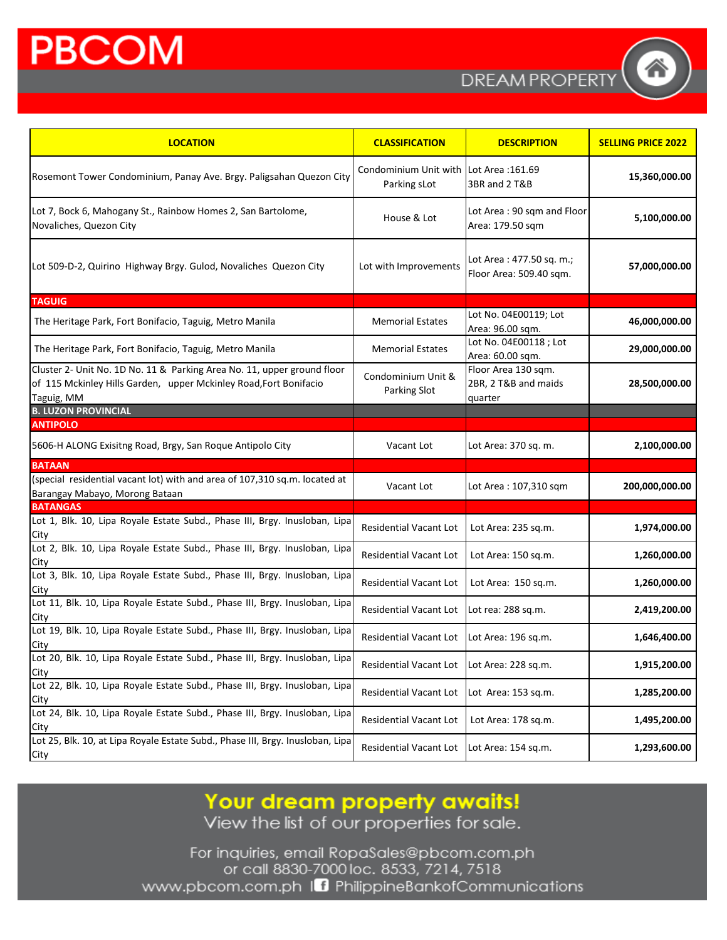**DREAMPROPERT** 

| <b>LOCATION</b>                                                                                                                                            | <b>CLASSIFICATION</b>                                  | <b>DESCRIPTION</b>                                     | <b>SELLING PRICE 2022</b> |
|------------------------------------------------------------------------------------------------------------------------------------------------------------|--------------------------------------------------------|--------------------------------------------------------|---------------------------|
| Rosemont Tower Condominium, Panay Ave. Brgy. Paligsahan Quezon City                                                                                        | Condominium Unit with Lot Area: 161.69<br>Parking sLot | 3BR and 2 T&B                                          | 15,360,000.00             |
| Lot 7, Bock 6, Mahogany St., Rainbow Homes 2, San Bartolome,<br>Novaliches, Quezon City                                                                    | House & Lot                                            | Lot Area: 90 sqm and Floor<br>Area: 179.50 sqm         | 5,100,000.00              |
| Lot 509-D-2, Quirino Highway Brgy. Gulod, Novaliches Quezon City                                                                                           | Lot with Improvements                                  | Lot Area: 477.50 sq. m.;<br>Floor Area: 509.40 sqm.    | 57,000,000.00             |
| <b>TAGUIG</b>                                                                                                                                              |                                                        |                                                        |                           |
| The Heritage Park, Fort Bonifacio, Taguig, Metro Manila                                                                                                    | <b>Memorial Estates</b>                                | Lot No. 04E00119; Lot<br>Area: 96.00 sqm.              | 46,000,000.00             |
| The Heritage Park, Fort Bonifacio, Taguig, Metro Manila                                                                                                    | <b>Memorial Estates</b>                                | Lot No. 04E00118 ; Lot<br>Area: 60.00 sqm.             | 29,000,000.00             |
| Cluster 2- Unit No. 1D No. 11 & Parking Area No. 11, upper ground floor<br>of 115 Mckinley Hills Garden, upper Mckinley Road, Fort Bonifacio<br>Taguig, MM | Condominium Unit &<br>Parking Slot                     | Floor Area 130 sqm.<br>2BR, 2 T&B and maids<br>quarter | 28,500,000.00             |
| <b>B. LUZON PROVINCIAL</b>                                                                                                                                 |                                                        |                                                        |                           |
| <b>ANTIPOLO</b>                                                                                                                                            |                                                        |                                                        |                           |
| 5606-H ALONG Exisitng Road, Brgy, San Roque Antipolo City                                                                                                  | Vacant Lot                                             | Lot Area: 370 sq. m.                                   | 2,100,000.00              |
| <b>BATAAN</b><br>(special residential vacant lot) with and area of 107,310 sq.m. located at                                                                |                                                        |                                                        |                           |
| Barangay Mabayo, Morong Bataan                                                                                                                             | Vacant Lot                                             | Lot Area: 107,310 sqm                                  | 200,000,000.00            |
| <b>BATANGAS</b>                                                                                                                                            |                                                        |                                                        |                           |
| Lot 1, Blk. 10, Lipa Royale Estate Subd., Phase III, Brgy. Inusloban, Lipa<br>City                                                                         | <b>Residential Vacant Lot</b>                          | Lot Area: 235 sq.m.                                    | 1,974,000.00              |
| Lot 2, Blk. 10, Lipa Royale Estate Subd., Phase III, Brgy. Inusloban, Lipa<br>City                                                                         | <b>Residential Vacant Lot</b>                          | Lot Area: 150 sq.m.                                    | 1,260,000.00              |
| Lot 3, Blk. 10, Lipa Royale Estate Subd., Phase III, Brgy. Inusloban, Lipa<br>City                                                                         | Residential Vacant Lot                                 | Lot Area: 150 sq.m.                                    | 1,260,000.00              |
| Lot 11, Blk. 10, Lipa Royale Estate Subd., Phase III, Brgy. Inusloban, Lipa<br>City                                                                        | <b>Residential Vacant Lot</b>                          | Lot rea: 288 sq.m.                                     | 2,419,200.00              |
| Lot 19, Blk. 10, Lipa Royale Estate Subd., Phase III, Brgy. Inusloban, Lipa<br>City                                                                        | <b>Residential Vacant Lot</b>                          | Lot Area: 196 sq.m.                                    | 1,646,400.00              |
| Lot 20, Blk. 10, Lipa Royale Estate Subd., Phase III, Brgy. Inusloban, Lipa<br>City                                                                        | Residential Vacant Lot                                 | Lot Area: 228 sq.m.                                    | 1,915,200.00              |
| Lot 22, Blk. 10, Lipa Royale Estate Subd., Phase III, Brgy. Inusloban, Lipa<br>City                                                                        | Residential Vacant Lot                                 | Lot Area: 153 sq.m.                                    | 1,285,200.00              |
| Lot 24, Blk. 10, Lipa Royale Estate Subd., Phase III, Brgy. Inusloban, Lipa<br>City                                                                        | Residential Vacant Lot                                 | Lot Area: 178 sq.m.                                    | 1,495,200.00              |
| Lot 25, Blk. 10, at Lipa Royale Estate Subd., Phase III, Brgy. Inusloban, Lipa<br>City                                                                     | Residential Vacant Lot                                 | Lot Area: 154 sq.m.                                    | 1,293,600.00              |

Your dream property awaits!<br>View the list of our properties for sale.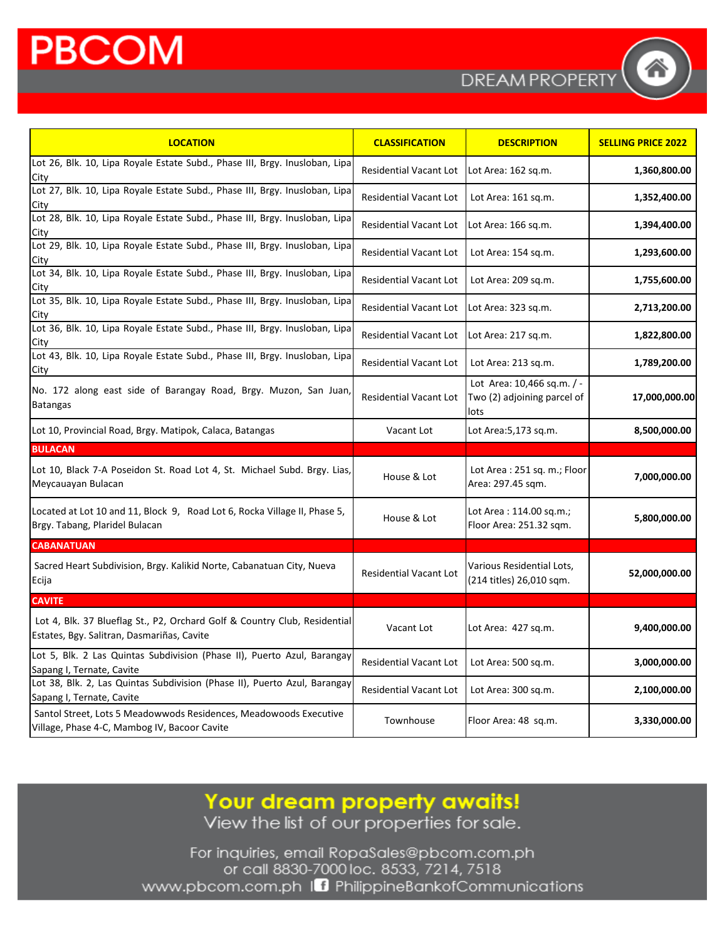| <b>LOCATION</b>                                                                                                         | <b>CLASSIFICATION</b>         | <b>DESCRIPTION</b>                                                | <b>SELLING PRICE 2022</b> |
|-------------------------------------------------------------------------------------------------------------------------|-------------------------------|-------------------------------------------------------------------|---------------------------|
| Lot 26, Blk. 10, Lipa Royale Estate Subd., Phase III, Brgy. Inusloban, Lipa<br>City                                     | <b>Residential Vacant Lot</b> | Lot Area: 162 sq.m.                                               | 1,360,800.00              |
| Lot 27, Blk. 10, Lipa Royale Estate Subd., Phase III, Brgy. Inusloban, Lipa<br>City                                     | <b>Residential Vacant Lot</b> | Lot Area: 161 sq.m.                                               | 1,352,400.00              |
| Lot 28, Blk. 10, Lipa Royale Estate Subd., Phase III, Brgy. Inusloban, Lipa<br>City                                     | <b>Residential Vacant Lot</b> | Lot Area: 166 sq.m.                                               | 1,394,400.00              |
| Lot 29, Blk. 10, Lipa Royale Estate Subd., Phase III, Brgy. Inusloban, Lipa<br>City                                     | <b>Residential Vacant Lot</b> | Lot Area: 154 sq.m.                                               | 1,293,600.00              |
| Lot 34, Blk. 10, Lipa Royale Estate Subd., Phase III, Brgy. Inusloban, Lipa<br>City                                     | <b>Residential Vacant Lot</b> | Lot Area: 209 sq.m.                                               | 1,755,600.00              |
| Lot 35, Blk. 10, Lipa Royale Estate Subd., Phase III, Brgy. Inusloban, Lipa<br>City                                     | <b>Residential Vacant Lot</b> | Lot Area: 323 sq.m.                                               | 2,713,200.00              |
| Lot 36, Blk. 10, Lipa Royale Estate Subd., Phase III, Brgy. Inusloban, Lipa<br>City                                     | <b>Residential Vacant Lot</b> | Lot Area: 217 sq.m.                                               | 1,822,800.00              |
| Lot 43, Blk. 10, Lipa Royale Estate Subd., Phase III, Brgy. Inusloban, Lipa<br>City                                     | <b>Residential Vacant Lot</b> | Lot Area: 213 sq.m.                                               | 1,789,200.00              |
| No. 172 along east side of Barangay Road, Brgy. Muzon, San Juan,<br><b>Batangas</b>                                     | <b>Residential Vacant Lot</b> | Lot Area: 10,466 sq.m. / -<br>Two (2) adjoining parcel of<br>lots | 17,000,000.00             |
| Lot 10, Provincial Road, Brgy. Matipok, Calaca, Batangas                                                                | Vacant Lot                    | Lot Area: 5, 173 sq.m.                                            | 8,500,000.00              |
| <b>BULACAN</b>                                                                                                          |                               |                                                                   |                           |
| Lot 10, Black 7-A Poseidon St. Road Lot 4, St. Michael Subd. Brgy. Lias,<br>Meycauayan Bulacan                          | House & Lot                   | Lot Area: 251 sq. m.; Floor<br>Area: 297.45 sqm.                  | 7,000,000.00              |
| Located at Lot 10 and 11, Block 9, Road Lot 6, Rocka Village II, Phase 5,<br>Brgy. Tabang, Plaridel Bulacan             | House & Lot                   | Lot Area: 114.00 sq.m.;<br>Floor Area: 251.32 sqm.                | 5,800,000.00              |
| <b>CABANATUAN</b>                                                                                                       |                               |                                                                   |                           |
| Sacred Heart Subdivision, Brgy. Kalikid Norte, Cabanatuan City, Nueva<br>Ecija                                          | Residential Vacant Lot        | Various Residential Lots,<br>(214 titles) 26,010 sqm.             | 52,000,000.00             |
| <b>CAVITE</b>                                                                                                           |                               |                                                                   |                           |
| Lot 4, Blk. 37 Blueflag St., P2, Orchard Golf & Country Club, Residential<br>Estates, Bgy. Salitran, Dasmariñas, Cavite | Vacant Lot                    | Lot Area: 427 sq.m.                                               | 9,400,000.00              |
| Lot 5, Blk. 2 Las Quintas Subdivision (Phase II), Puerto Azul, Barangay<br>Sapang I, Ternate, Cavite                    | <b>Residential Vacant Lot</b> | Lot Area: 500 sq.m.                                               | 3,000,000.00              |
| Lot 38, Blk. 2, Las Quintas Subdivision (Phase II), Puerto Azul, Barangay<br>Sapang I, Ternate, Cavite                  | <b>Residential Vacant Lot</b> | Lot Area: 300 sq.m.                                               | 2,100,000.00              |
| Santol Street, Lots 5 Meadowwods Residences, Meadowoods Executive<br>Village, Phase 4-C, Mambog IV, Bacoor Cavite       | Townhouse                     | Floor Area: 48 sq.m.                                              | 3,330,000.00              |

Your dream property awaits!<br>View the list of our properties for sale.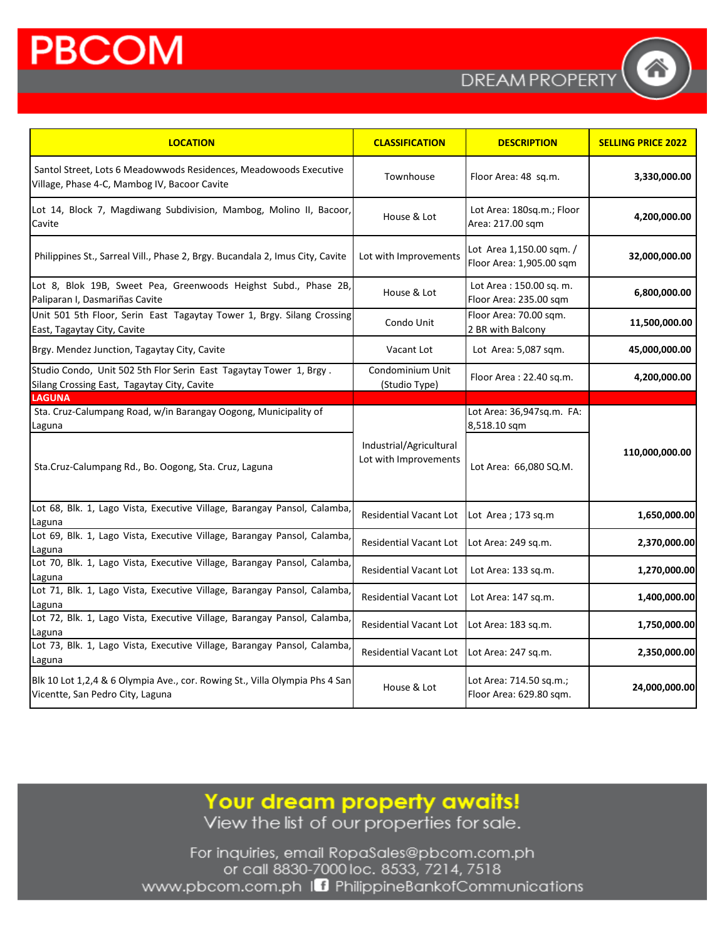**DREAM PROPERT** 

| <b>LOCATION</b>                                                                                                   | <b>CLASSIFICATION</b>                            | <b>DESCRIPTION</b>                                   | <b>SELLING PRICE 2022</b> |
|-------------------------------------------------------------------------------------------------------------------|--------------------------------------------------|------------------------------------------------------|---------------------------|
| Santol Street, Lots 6 Meadowwods Residences, Meadowoods Executive<br>Village, Phase 4-C, Mambog IV, Bacoor Cavite | Townhouse                                        | Floor Area: 48 sq.m.                                 | 3,330,000.00              |
| Lot 14, Block 7, Magdiwang Subdivision, Mambog, Molino II, Bacoor,<br>Cavite                                      | House & Lot                                      | Lot Area: 180sq.m.; Floor<br>Area: 217.00 sqm        | 4,200,000.00              |
| Philippines St., Sarreal Vill., Phase 2, Brgy. Bucandala 2, Imus City, Cavite                                     | Lot with Improvements                            | Lot Area 1,150.00 sqm. /<br>Floor Area: 1,905.00 sqm | 32,000,000.00             |
| Lot 8, Blok 19B, Sweet Pea, Greenwoods Heighst Subd., Phase 2B,<br>Paliparan I, Dasmariñas Cavite                 | House & Lot                                      | Lot Area: 150.00 sq. m.<br>Floor Area: 235.00 sqm    | 6,800,000.00              |
| Unit 501 5th Floor, Serin East Tagaytay Tower 1, Brgy. Silang Crossing<br>East, Tagaytay City, Cavite             | Condo Unit                                       | Floor Area: 70.00 sqm.<br>2 BR with Balcony          | 11,500,000.00             |
| Brgy. Mendez Junction, Tagaytay City, Cavite                                                                      | Vacant Lot                                       | Lot Area: 5,087 sqm.                                 | 45,000,000.00             |
| Studio Condo, Unit 502 5th Flor Serin East Tagaytay Tower 1, Brgy.<br>Silang Crossing East, Tagaytay City, Cavite | Condominium Unit<br>(Studio Type)                | Floor Area: 22.40 sq.m.                              | 4,200,000.00              |
| <b>LAGUNA</b>                                                                                                     |                                                  |                                                      |                           |
| Sta. Cruz-Calumpang Road, w/in Barangay Oogong, Municipality of<br>Laguna                                         |                                                  | Lot Area: 36,947sq.m. FA:<br>8,518.10 sqm            |                           |
| Sta.Cruz-Calumpang Rd., Bo. Oogong, Sta. Cruz, Laguna                                                             | Industrial/Agricultural<br>Lot with Improvements | Lot Area: 66,080 SQ.M.                               | 110,000,000.00            |
| Lot 68, Blk. 1, Lago Vista, Executive Village, Barangay Pansol, Calamba,<br>Laguna                                | Residential Vacant Lot                           | Lot Area ; 173 sq.m                                  | 1,650,000.00              |
| Lot 69, Blk. 1, Lago Vista, Executive Village, Barangay Pansol, Calamba<br>Laguna                                 | <b>Residential Vacant Lot</b>                    | Lot Area: 249 sq.m.                                  | 2,370,000.00              |
| Lot 70, Blk. 1, Lago Vista, Executive Village, Barangay Pansol, Calamba,<br>Laguna                                | <b>Residential Vacant Lot</b>                    | Lot Area: 133 sq.m.                                  | 1,270,000.00              |
| Lot 71, Blk. 1, Lago Vista, Executive Village, Barangay Pansol, Calamba<br>Laguna                                 | <b>Residential Vacant Lot</b>                    | Lot Area: 147 sq.m.                                  | 1,400,000.00              |
| Lot 72, Blk. 1, Lago Vista, Executive Village, Barangay Pansol, Calamba<br>Laguna                                 | <b>Residential Vacant Lot</b>                    | Lot Area: 183 sq.m.                                  | 1,750,000.00              |
| Lot 73, Blk. 1, Lago Vista, Executive Village, Barangay Pansol, Calamba,<br>Laguna                                | <b>Residential Vacant Lot</b>                    | Lot Area: 247 sq.m.                                  | 2,350,000.00              |
| Blk 10 Lot 1,2,4 & 6 Olympia Ave., cor. Rowing St., Villa Olympia Phs 4 San<br>Vicentte, San Pedro City, Laguna   | House & Lot                                      | Lot Area: 714.50 sq.m.;<br>Floor Area: 629.80 sqm.   | 24,000,000.00             |

Your dream property awaits!<br>View the list of our properties for sale.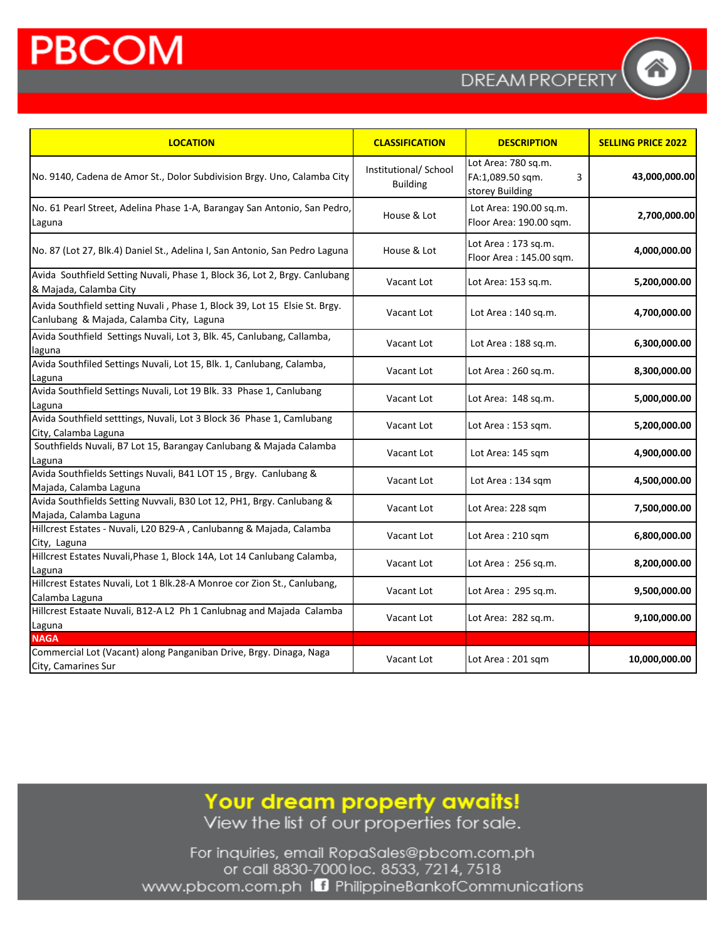**DREAMPROPERT** 

| <b>LOCATION</b>                                                                                                        | <b>CLASSIFICATION</b>                    | <b>DESCRIPTION</b>                                              | <b>SELLING PRICE 2022</b> |
|------------------------------------------------------------------------------------------------------------------------|------------------------------------------|-----------------------------------------------------------------|---------------------------|
| No. 9140, Cadena de Amor St., Dolor Subdivision Brgy. Uno, Calamba City                                                | Institutional/ School<br><b>Building</b> | Lot Area: 780 sq.m.<br>FA:1,089.50 sqm.<br>3<br>storey Building | 43,000,000.00             |
| No. 61 Pearl Street, Adelina Phase 1-A, Barangay San Antonio, San Pedro,<br>Laguna                                     | House & Lot                              | Lot Area: 190.00 sq.m.<br>Floor Area: 190.00 sqm.               | 2,700,000.00              |
| No. 87 (Lot 27, Blk.4) Daniel St., Adelina I, San Antonio, San Pedro Laguna                                            | House & Lot                              | Lot Area: 173 sq.m.<br>Floor Area: 145.00 sqm.                  | 4,000,000.00              |
| Avida Southfield Setting Nuvali, Phase 1, Block 36, Lot 2, Brgy. Canlubang<br>& Majada, Calamba City                   | Vacant Lot                               | Lot Area: 153 sq.m.                                             | 5,200,000.00              |
| Avida Southfield setting Nuvali, Phase 1, Block 39, Lot 15 Elsie St. Brgy.<br>Canlubang & Majada, Calamba City, Laguna | Vacant Lot                               | Lot Area: 140 sq.m.                                             | 4,700,000.00              |
| Avida Southfield Settings Nuvali, Lot 3, Blk. 45, Canlubang, Callamba,<br>laguna                                       | Vacant Lot                               | Lot Area: 188 sq.m.                                             | 6,300,000.00              |
| Avida Southfiled Settings Nuvali, Lot 15, Blk. 1, Canlubang, Calamba,<br>Laguna                                        | Vacant Lot                               | Lot Area: 260 sq.m.                                             | 8,300,000.00              |
| Avida Southfield Settings Nuvali, Lot 19 Blk. 33 Phase 1, Canlubang<br>Laguna                                          | Vacant Lot                               | Lot Area: 148 sq.m.                                             | 5,000,000.00              |
| Avida Southfield setttings, Nuvali, Lot 3 Block 36 Phase 1, Camlubang<br>City, Calamba Laguna                          | Vacant Lot                               | Lot Area: 153 sqm.                                              | 5,200,000.00              |
| Southfields Nuvali, B7 Lot 15, Barangay Canlubang & Majada Calamba<br>Laguna                                           | Vacant Lot                               | Lot Area: 145 sqm                                               | 4,900,000.00              |
| Avida Southfields Settings Nuvali, B41 LOT 15, Brgy. Canlubang &<br>Majada, Calamba Laguna                             | Vacant Lot                               | Lot Area: 134 sqm                                               | 4,500,000.00              |
| Avida Southfields Setting Nuvvali, B30 Lot 12, PH1, Brgy. Canlubang &<br>Majada, Calamba Laguna                        | Vacant Lot                               | Lot Area: 228 sqm                                               | 7,500,000.00              |
| Hillcrest Estates - Nuvali, L20 B29-A, Canlubanng & Majada, Calamba<br>City, Laguna                                    | Vacant Lot                               | Lot Area: 210 sqm                                               | 6,800,000.00              |
| Hillcrest Estates Nuvali, Phase 1, Block 14A, Lot 14 Canlubang Calamba,<br>Laguna                                      | Vacant Lot                               | Lot Area: 256 sq.m.                                             | 8,200,000.00              |
| Hillcrest Estates Nuvali, Lot 1 Blk.28-A Monroe cor Zion St., Canlubang,<br>Calamba Laguna                             | Vacant Lot                               | Lot Area: 295 sq.m.                                             | 9,500,000.00              |
| Hillcrest Estaate Nuvali, B12-A L2 Ph 1 Canlubnag and Majada Calamba<br>Laguna                                         | Vacant Lot                               | Lot Area: 282 sq.m.                                             | 9,100,000.00              |
| <b>NAGA</b>                                                                                                            |                                          |                                                                 |                           |
| Commercial Lot (Vacant) along Panganiban Drive, Brgy. Dinaga, Naga<br>City, Camarines Sur                              | Vacant Lot                               | Lot Area: 201 sqm                                               | 10,000,000.00             |

Your dream property awaits!

View the list of our properties for sale.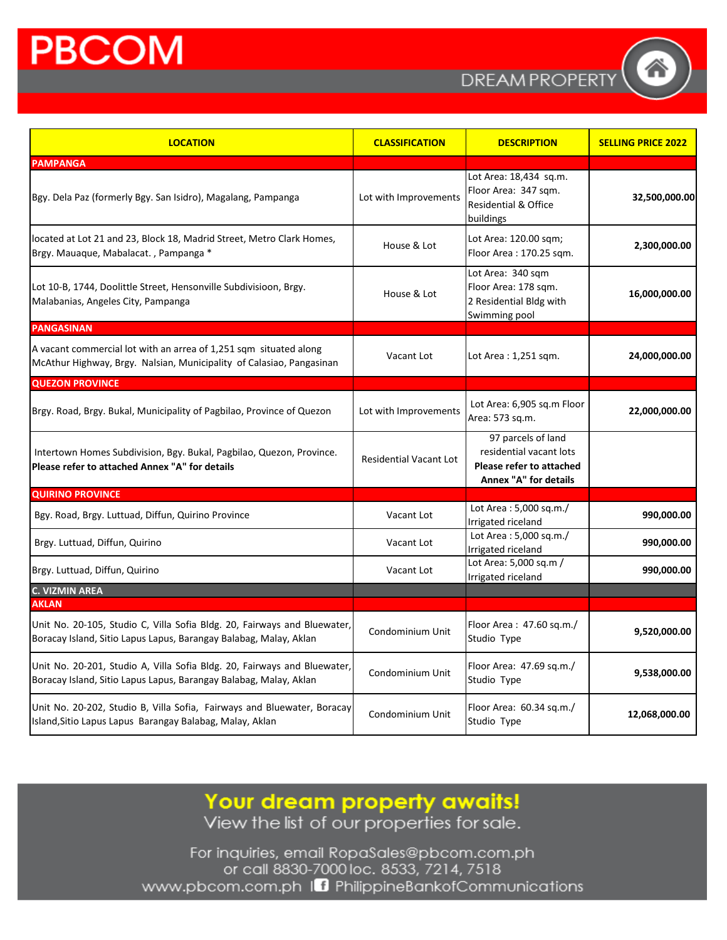**DREAMPROPERT** 

| <b>LOCATION</b>                                                                                                                               | <b>CLASSIFICATION</b>  | <b>DESCRIPTION</b>                                                                                 | <b>SELLING PRICE 2022</b> |
|-----------------------------------------------------------------------------------------------------------------------------------------------|------------------------|----------------------------------------------------------------------------------------------------|---------------------------|
| <b>PAMPANGA</b>                                                                                                                               |                        |                                                                                                    |                           |
| Bgy. Dela Paz (formerly Bgy. San Isidro), Magalang, Pampanga                                                                                  | Lot with Improvements  | Lot Area: 18,434 sq.m.<br>Floor Area: 347 sqm.<br><b>Residential &amp; Office</b><br>buildings     | 32,500,000.00             |
| located at Lot 21 and 23, Block 18, Madrid Street, Metro Clark Homes,<br>Brgy. Mauaque, Mabalacat., Pampanga *                                | House & Lot            | Lot Area: 120.00 sqm;<br>Floor Area: 170.25 sqm.                                                   | 2,300,000.00              |
| Lot 10-B, 1744, Doolittle Street, Hensonville Subdivisioon, Brgy.<br>Malabanias, Angeles City, Pampanga                                       | House & Lot            | Lot Area: 340 sqm<br>Floor Area: 178 sqm.<br>2 Residential Bldg with<br>Swimming pool              | 16,000,000.00             |
| <b>PANGASINAN</b>                                                                                                                             |                        |                                                                                                    |                           |
| A vacant commercial lot with an arrea of 1,251 sqm situated along<br>McAthur Highway, Brgy. Nalsian, Municipality of Calasiao, Pangasinan     | Vacant Lot             | Lot Area: 1,251 sqm.                                                                               | 24,000,000.00             |
| <b>QUEZON PROVINCE</b>                                                                                                                        |                        |                                                                                                    |                           |
| Brgy. Road, Brgy. Bukal, Municipality of Pagbilao, Province of Quezon                                                                         | Lot with Improvements  | Lot Area: 6,905 sq.m Floor<br>Area: 573 sq.m.                                                      | 22,000,000.00             |
| Intertown Homes Subdivision, Bgy. Bukal, Pagbilao, Quezon, Province.<br>Please refer to attached Annex "A" for details                        | Residential Vacant Lot | 97 parcels of land<br>residential vacant lots<br>Please refer to attached<br>Annex "A" for details |                           |
| <b>QUIRINO PROVINCE</b>                                                                                                                       |                        |                                                                                                    |                           |
| Bgy. Road, Brgy. Luttuad, Diffun, Quirino Province                                                                                            | Vacant Lot             | Lot Area: 5,000 sq.m./<br>Irrigated riceland                                                       | 990,000.00                |
| Brgy. Luttuad, Diffun, Quirino                                                                                                                | Vacant Lot             | Lot Area: 5,000 sq.m./<br>Irrigated riceland                                                       | 990,000.00                |
| Brgy. Luttuad, Diffun, Quirino                                                                                                                | Vacant Lot             | Lot Area: 5,000 sq.m /<br>Irrigated riceland                                                       | 990,000.00                |
| <b>C. VIZMIN AREA</b><br><b>AKLAN</b>                                                                                                         |                        |                                                                                                    |                           |
| Unit No. 20-105, Studio C, Villa Sofia Bldg. 20, Fairways and Bluewater,<br>Boracay Island, Sitio Lapus Lapus, Barangay Balabag, Malay, Aklan | Condominium Unit       | Floor Area: 47.60 sq.m./<br>Studio Type                                                            | 9,520,000.00              |
| Unit No. 20-201, Studio A, Villa Sofia Bldg. 20, Fairways and Bluewater,<br>Boracay Island, Sitio Lapus Lapus, Barangay Balabag, Malay, Aklan | Condominium Unit       | Floor Area: 47.69 sq.m./<br>Studio Type                                                            | 9,538,000.00              |
| Unit No. 20-202, Studio B, Villa Sofia, Fairways and Bluewater, Boracay<br>Island, Sitio Lapus Lapus Barangay Balabag, Malay, Aklan           | Condominium Unit       | Floor Area: 60.34 sq.m./<br>Studio Type                                                            | 12,068,000.00             |

Your dream property awaits!<br>View the list of our properties for sale.